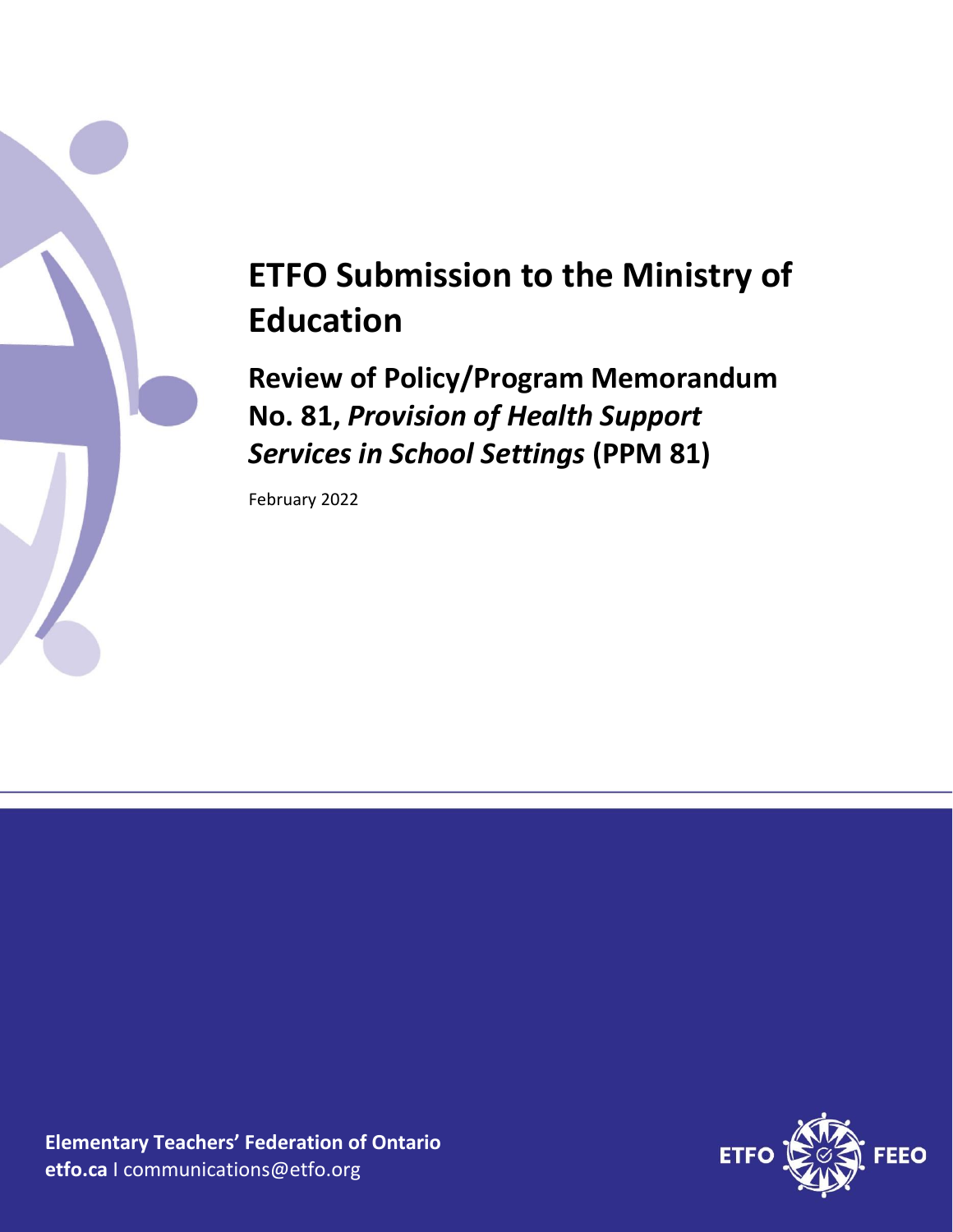

# **ETFO Submission to the Ministry of Education**

**Review of Policy/Program Memorandum No. 81,** *Provision of Health Support Services in School Settings* **(PPM 81)**

February 2022

**Elementary Teachers' Federation of Ontario etfo.ca** I communications@etfo.org

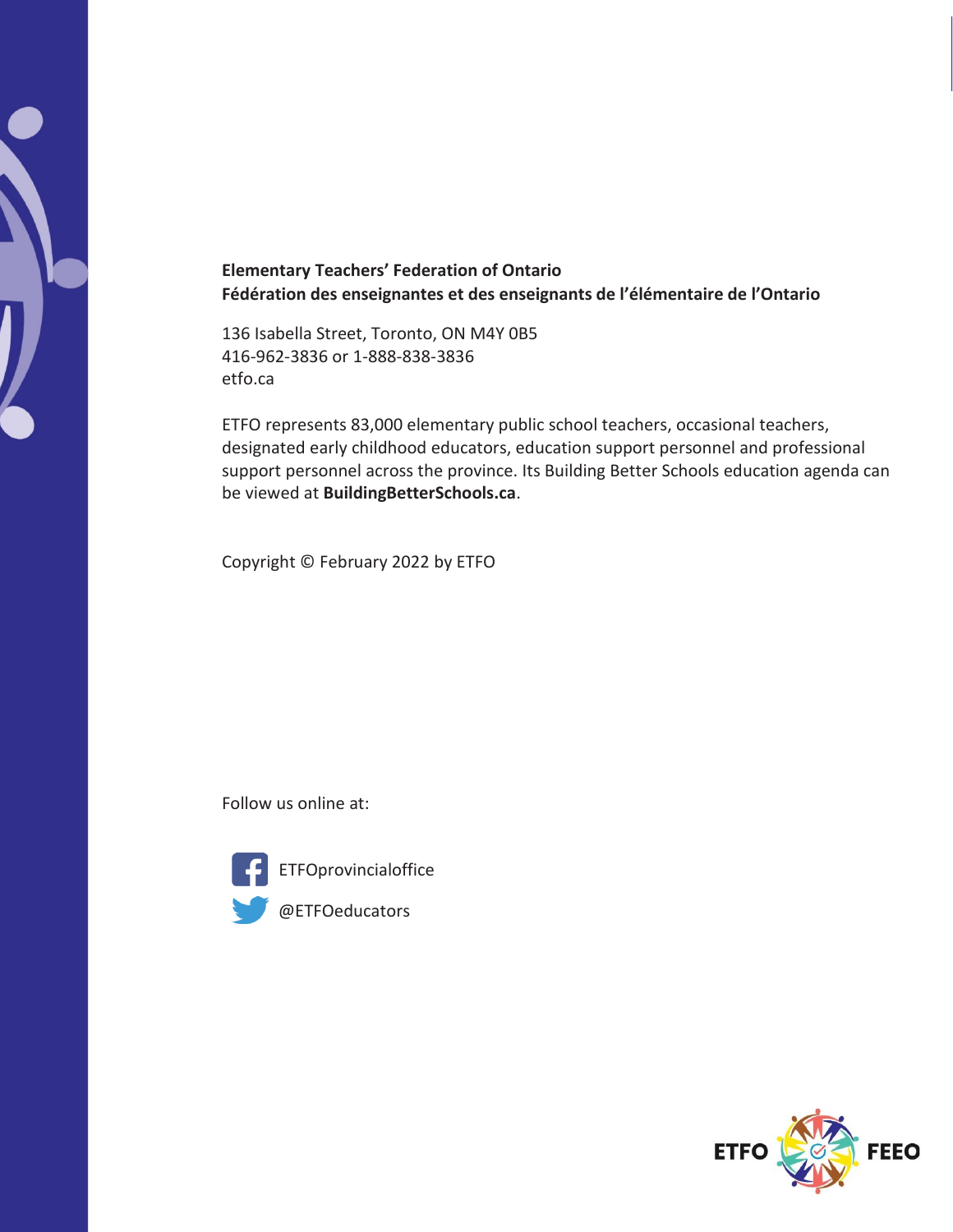

# **Elementary Teachers' Federation of Ontario Fédération des enseignantes et des enseignants de l'élémentaire de l'Ontario**

136 Isabella Street, Toronto, ON M4Y 0B5 416-962-3836 or 1-888-838-3836 etfo.ca

ETFO represents 83,000 elementary public school teachers, occasional teachers, designated early childhood educators, education support personnel and professional support personnel across the province. Its Building Better Schools education agenda can be viewed at **BuildingBetterSchools.ca**.

Copyright © February 2022 by ETFO

Follow us online at:



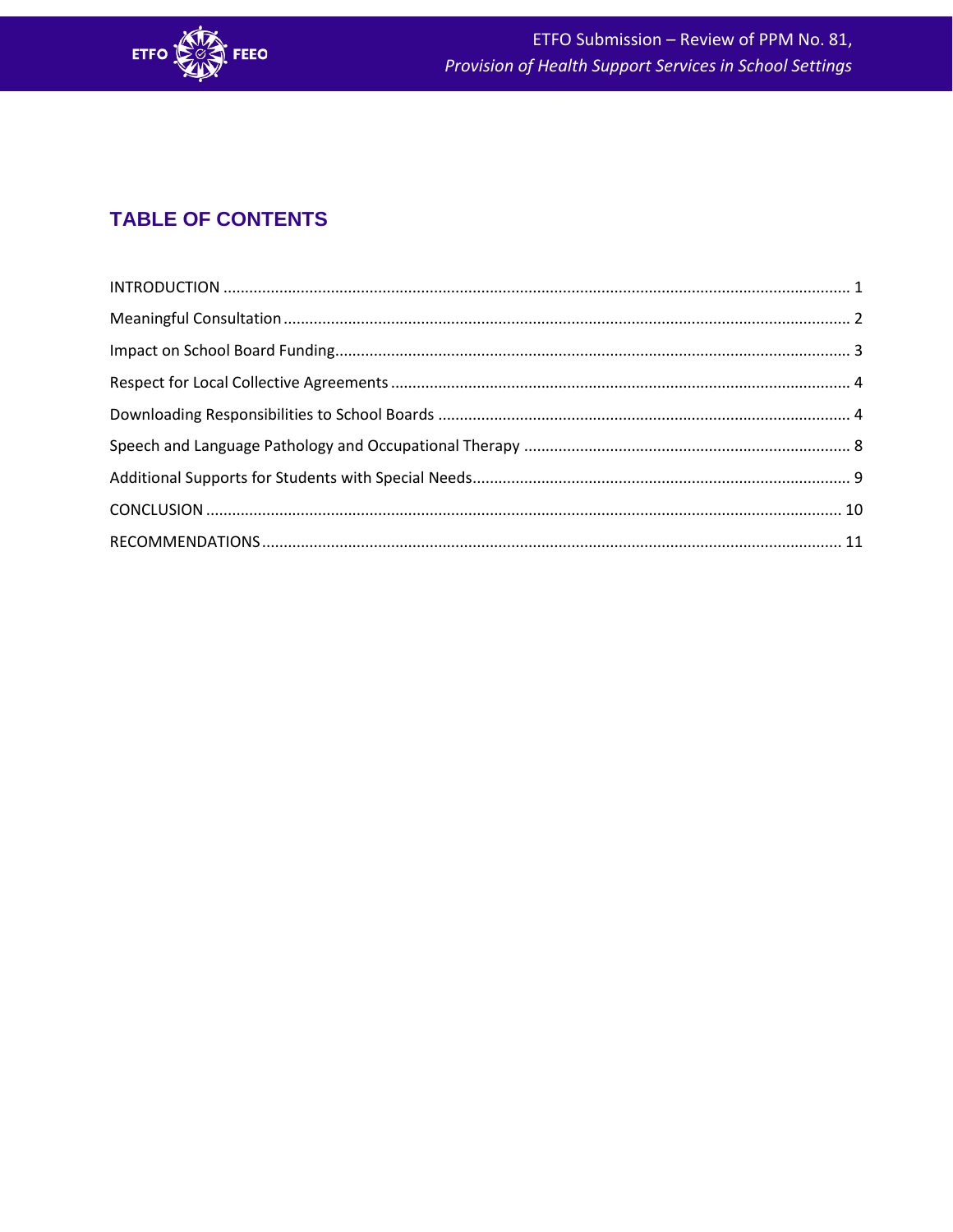

# **TABLE OF CONTENTS**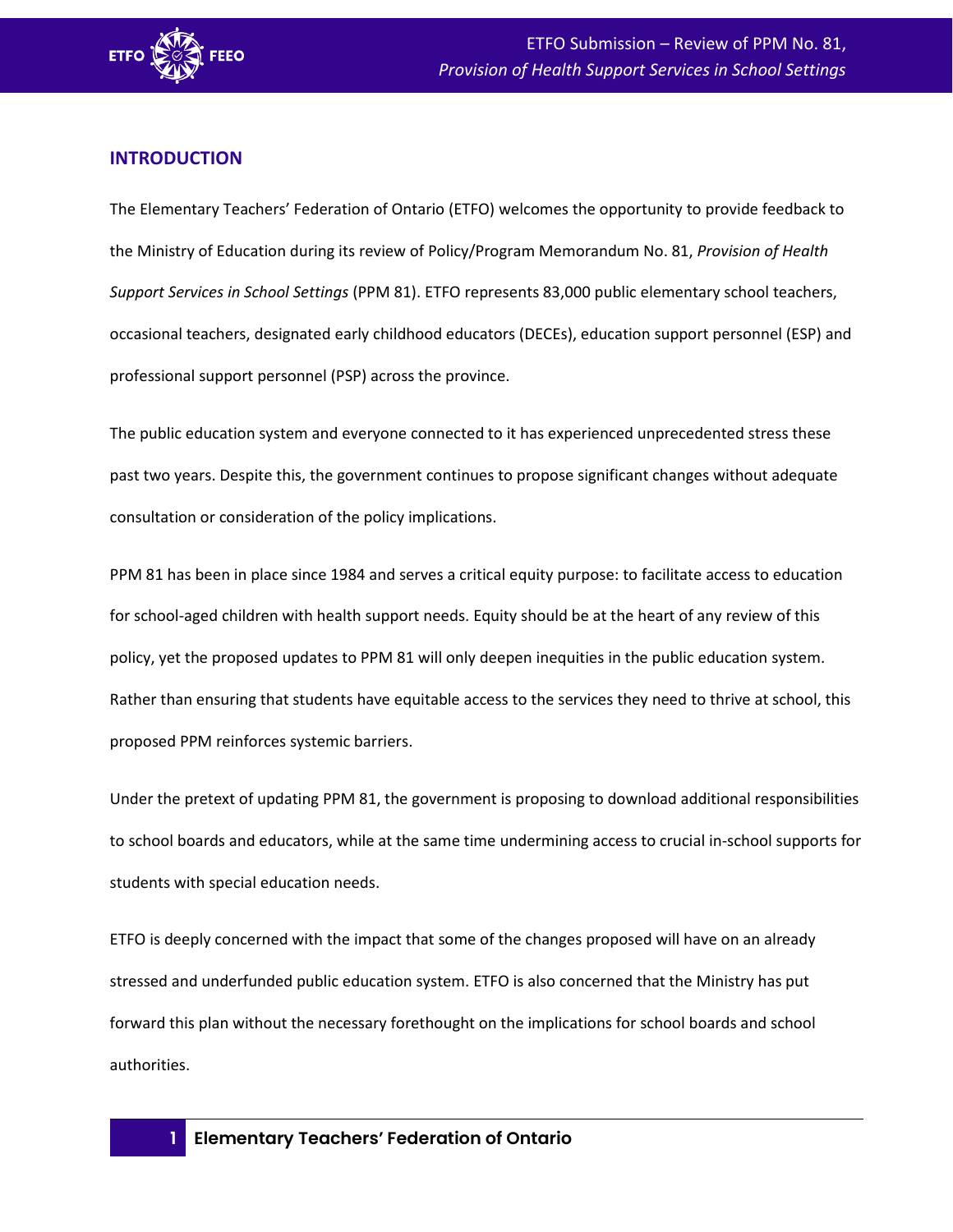

# <span id="page-3-0"></span>**INTRODUCTION**

The Elementary Teachers' Federation of Ontario (ETFO) welcomes the opportunity to provide feedback to the Ministry of Education during its review of Policy/Program Memorandum No. 81, *Provision of Health Support Services in School Settings* (PPM 81). ETFO represents 83,000 public elementary school teachers, occasional teachers, designated early childhood educators (DECEs), education support personnel (ESP) and professional support personnel (PSP) across the province.

The public education system and everyone connected to it has experienced unprecedented stress these past two years. Despite this, the government continues to propose significant changes without adequate consultation or consideration of the policy implications.

PPM 81 has been in place since 1984 and serves a critical equity purpose: to facilitate access to education for school-aged children with health support needs. Equity should be at the heart of any review of this policy, yet the proposed updates to PPM 81 will only deepen inequities in the public education system. Rather than ensuring that students have equitable access to the services they need to thrive at school, this proposed PPM reinforces systemic barriers.

Under the pretext of updating PPM 81, the government is proposing to download additional responsibilities to school boards and educators, while at the same time undermining access to crucial in-school supports for students with special education needs.

ETFO is deeply concerned with the impact that some of the changes proposed will have on an already stressed and underfunded public education system. ETFO is also concerned that the Ministry has put forward this plan without the necessary forethought on the implications for school boards and school authorities.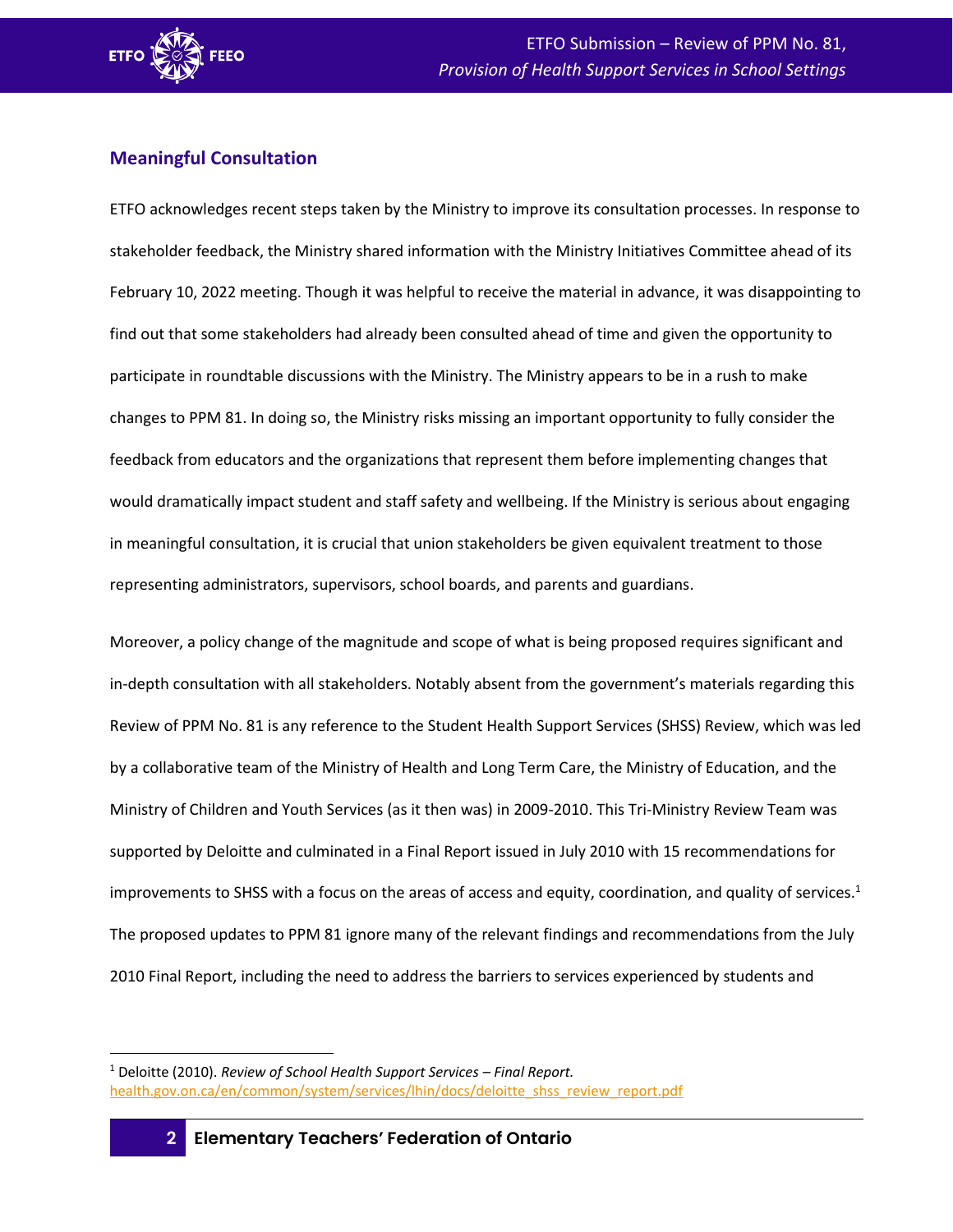

# <span id="page-4-0"></span>**Meaningful Consultation**

ETFO acknowledges recent steps taken by the Ministry to improve its consultation processes. In response to stakeholder feedback, the Ministry shared information with the Ministry Initiatives Committee ahead of its February 10, 2022 meeting. Though it was helpful to receive the material in advance, it was disappointing to find out that some stakeholders had already been consulted ahead of time and given the opportunity to participate in roundtable discussions with the Ministry. The Ministry appears to be in a rush to make changes to PPM 81. In doing so, the Ministry risks missing an important opportunity to fully consider the feedback from educators and the organizations that represent them before implementing changes that would dramatically impact student and staff safety and wellbeing. If the Ministry is serious about engaging in meaningful consultation, it is crucial that union stakeholders be given equivalent treatment to those representing administrators, supervisors, school boards, and parents and guardians.

Moreover, a policy change of the magnitude and scope of what is being proposed requires significant and in-depth consultation with all stakeholders. Notably absent from the government's materials regarding this Review of PPM No. 81 is any reference to the Student Health Support Services (SHSS) Review, which was led by a collaborative team of the Ministry of Health and Long Term Care, the Ministry of Education, and the Ministry of Children and Youth Services (as it then was) in 2009-2010. This Tri-Ministry Review Team was supported by Deloitte and culminated in a Final Report issued in July 2010 with 15 recommendations for improvements to SHSS with a focus on the areas of access and equity, coordination, and quality of services. 1 The proposed updates to PPM 81 ignore many of the relevant findings and recommendations from the July 2010 Final Report, including the need to address the barriers to services experienced by students and

<sup>1</sup> Deloitte (2010). *Review of School Health Support Services – Final Report.* [health.gov.on.ca/en/common/system/services/lhin/docs/deloitte\\_shss\\_review\\_report.pdf](http://www.health.gov.on.ca/en/common/system/services/lhin/docs/deloitte_shss_review_report.pdf)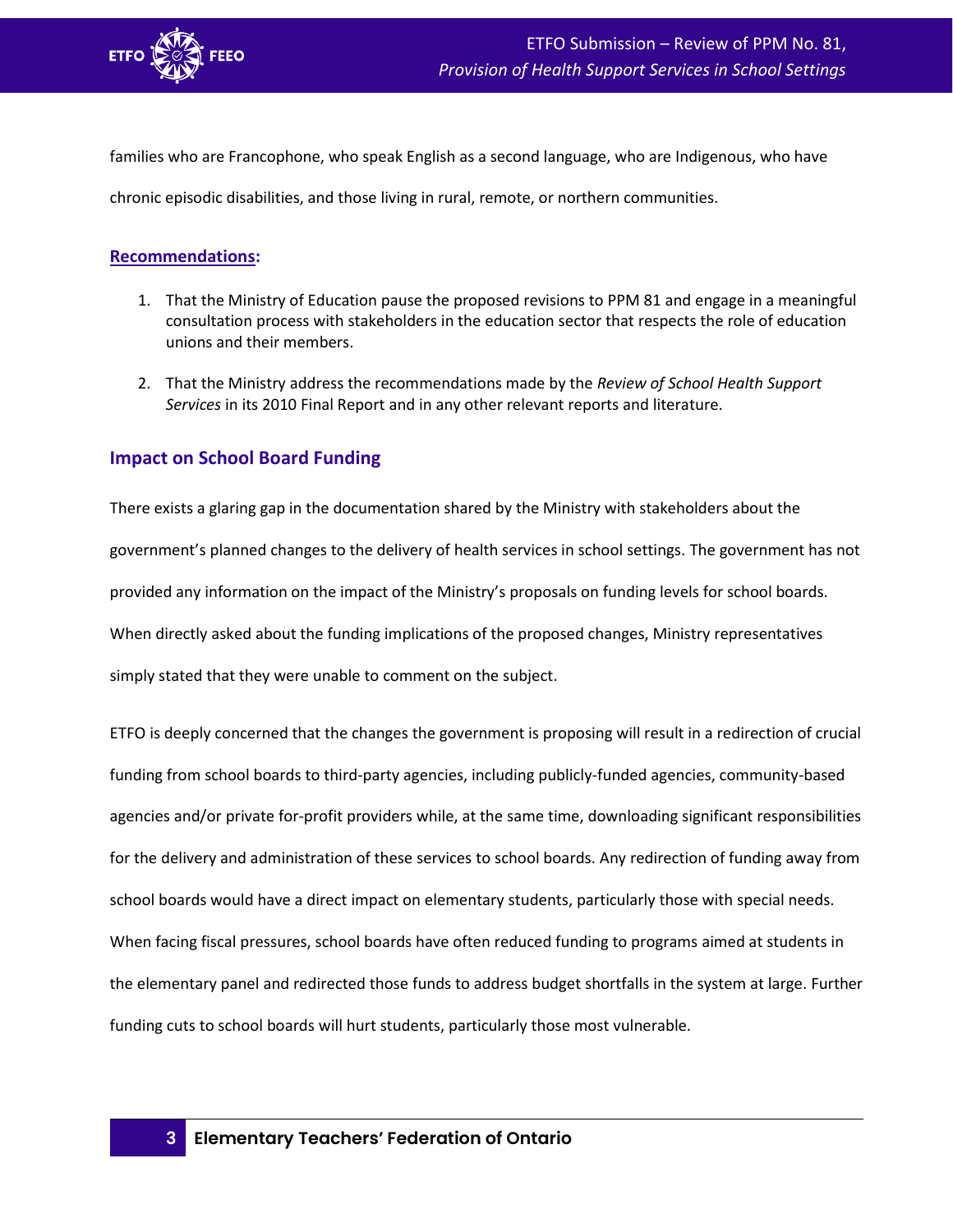

families who are Francophone, who speak English as a second language, who are Indigenous, who have

chronic episodic disabilities, and those living in rural, remote, or northern communities.

#### **Recommendations:**

- 1. That the Ministry of Education pause the proposed revisions to PPM 81 and engage in a meaningful consultation process with stakeholders in the education sector that respects the role of education unions and their members.
- 2. That the Ministry address the recommendations made by the *Review of School Health Support Services* in its 2010 Final Report and in any other relevant reports and literature.

# <span id="page-5-0"></span>**Impact on School Board Funding**

There exists a glaring gap in the documentation shared by the Ministry with stakeholders about the government's planned changes to the delivery of health services in school settings. The government has not provided any information on the impact of the Ministry's proposals on funding levels for school boards. When directly asked about the funding implications of the proposed changes, Ministry representatives simply stated that they were unable to comment on the subject.

ETFO is deeply concerned that the changes the government is proposing will result in a redirection of crucial funding from school boards to third-party agencies, including publicly-funded agencies, community-based agencies and/or private for-profit providers while, at the same time, downloading significant responsibilities for the delivery and administration of these services to school boards. Any redirection of funding away from school boards would have a direct impact on elementary students, particularly those with special needs. When facing fiscal pressures, school boards have often reduced funding to programs aimed at students in the elementary panel and redirected those funds to address budget shortfalls in the system at large. Further funding cuts to school boards will hurt students, particularly those most vulnerable.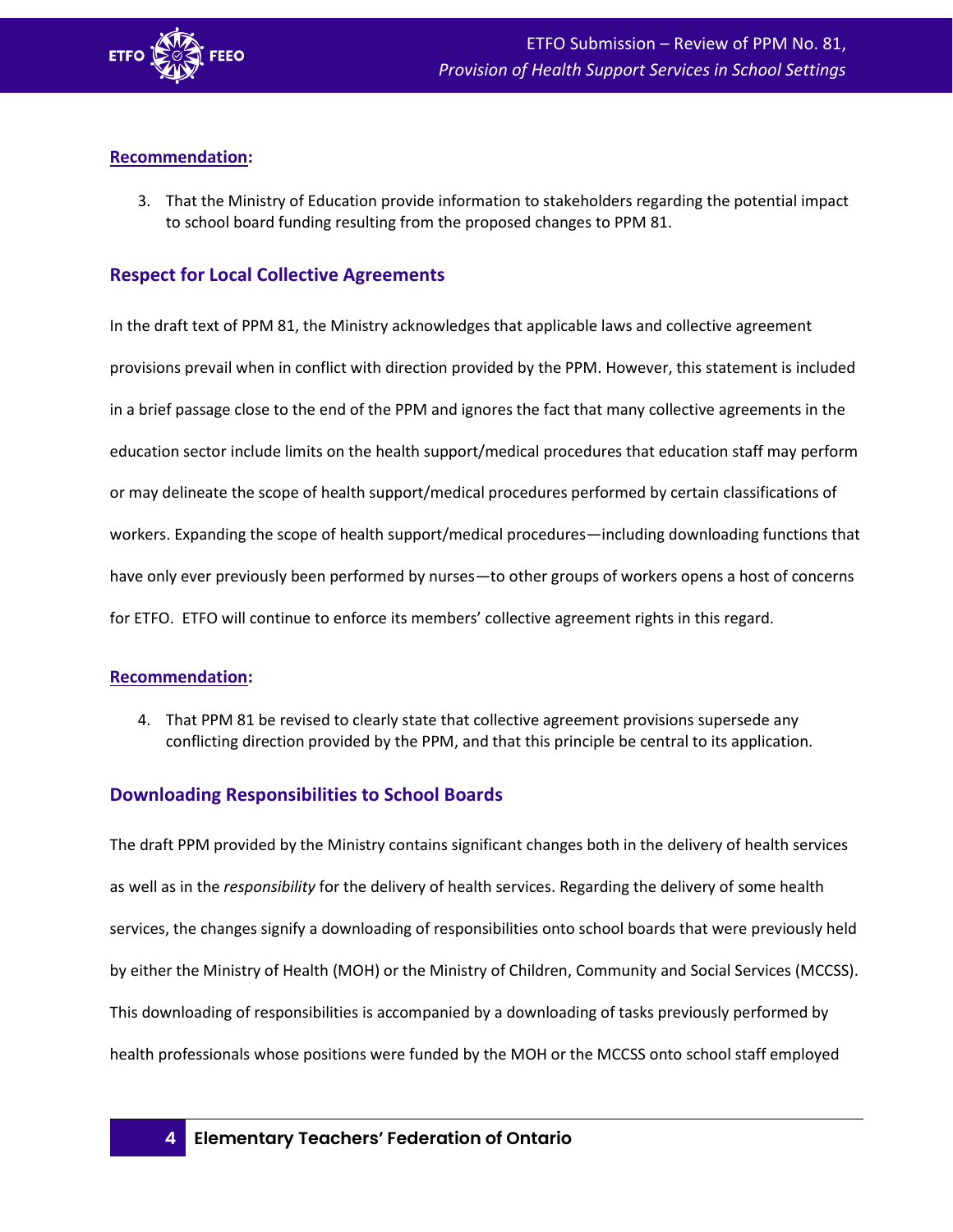

#### **Recommendation:**

3. That the Ministry of Education provide information to stakeholders regarding the potential impact to school board funding resulting from the proposed changes to PPM 81.

# <span id="page-6-0"></span>**Respect for Local Collective Agreements**

In the draft text of PPM 81, the Ministry acknowledges that applicable laws and collective agreement provisions prevail when in conflict with direction provided by the PPM. However, this statement is included in a brief passage close to the end of the PPM and ignores the fact that many collective agreements in the education sector include limits on the health support/medical procedures that education staff may perform or may delineate the scope of health support/medical procedures performed by certain classifications of workers. Expanding the scope of health support/medical procedures—including downloading functions that have only ever previously been performed by nurses—to other groups of workers opens a host of concerns for ETFO. ETFO will continue to enforce its members' collective agreement rights in this regard.

#### **Recommendation:**

4. That PPM 81 be revised to clearly state that collective agreement provisions supersede any conflicting direction provided by the PPM, and that this principle be central to its application.

# <span id="page-6-1"></span>**Downloading Responsibilities to School Boards**

The draft PPM provided by the Ministry contains significant changes both in the delivery of health services as well as in the *responsibility* for the delivery of health services. Regarding the delivery of some health services, the changes signify a downloading of responsibilities onto school boards that were previously held by either the Ministry of Health (MOH) or the Ministry of Children, Community and Social Services (MCCSS). This downloading of responsibilities is accompanied by a downloading of tasks previously performed by health professionals whose positions were funded by the MOH or the MCCSS onto school staff employed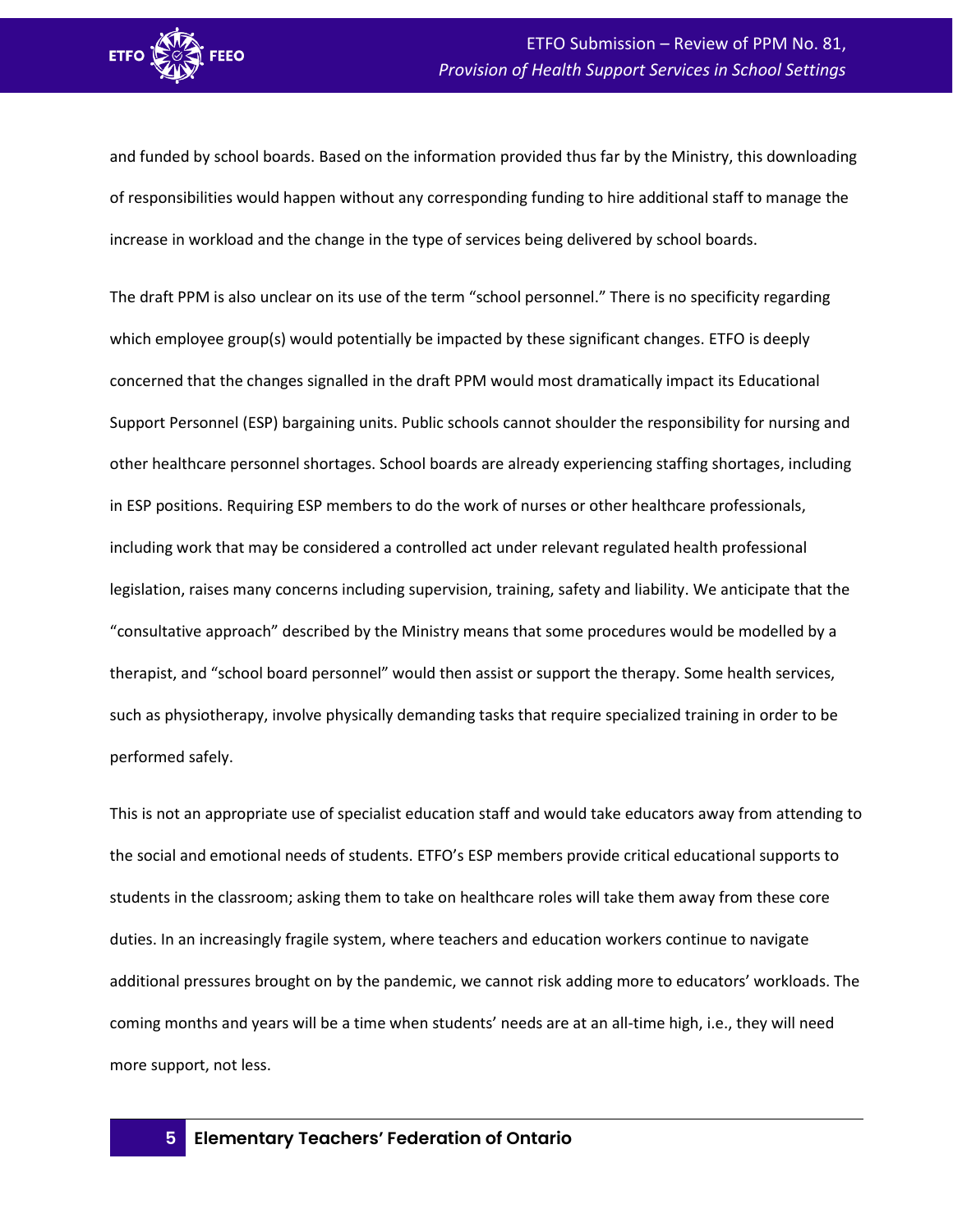

and funded by school boards. Based on the information provided thus far by the Ministry, this downloading of responsibilities would happen without any corresponding funding to hire additional staff to manage the increase in workload and the change in the type of services being delivered by school boards.

The draft PPM is also unclear on its use of the term "school personnel." There is no specificity regarding which employee group(s) would potentially be impacted by these significant changes. ETFO is deeply concerned that the changes signalled in the draft PPM would most dramatically impact its Educational Support Personnel (ESP) bargaining units. Public schools cannot shoulder the responsibility for nursing and other healthcare personnel shortages. School boards are already experiencing staffing shortages, including in ESP positions. Requiring ESP members to do the work of nurses or other healthcare professionals, including work that may be considered a controlled act under relevant regulated health professional legislation, raises many concerns including supervision, training, safety and liability. We anticipate that the "consultative approach" described by the Ministry means that some procedures would be modelled by a therapist, and "school board personnel" would then assist or support the therapy. Some health services, such as physiotherapy, involve physically demanding tasks that require specialized training in order to be performed safely.

This is not an appropriate use of specialist education staff and would take educators away from attending to the social and emotional needs of students. ETFO's ESP members provide critical educational supports to students in the classroom; asking them to take on healthcare roles will take them away from these core duties. In an increasingly fragile system, where teachers and education workers continue to navigate additional pressures brought on by the pandemic, we cannot risk adding more to educators' workloads. The coming months and years will be a time when students' needs are at an all-time high, i.e., they will need more support, not less.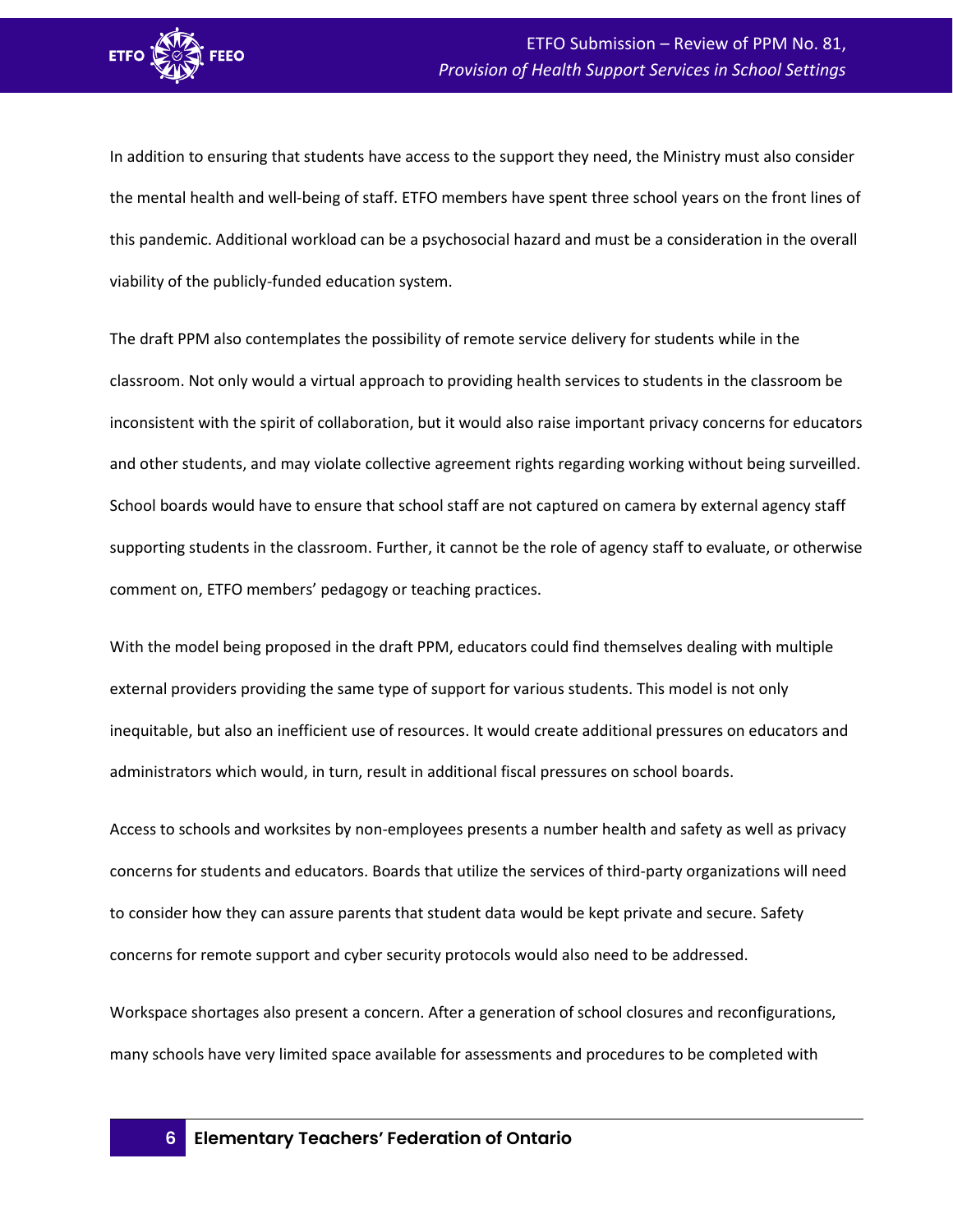

In addition to ensuring that students have access to the support they need, the Ministry must also consider the mental health and well-being of staff. ETFO members have spent three school years on the front lines of this pandemic. Additional workload can be a psychosocial hazard and must be a consideration in the overall viability of the publicly-funded education system.

The draft PPM also contemplates the possibility of remote service delivery for students while in the classroom. Not only would a virtual approach to providing health services to students in the classroom be inconsistent with the spirit of collaboration, but it would also raise important privacy concerns for educators and other students, and may violate collective agreement rights regarding working without being surveilled. School boards would have to ensure that school staff are not captured on camera by external agency staff supporting students in the classroom. Further, it cannot be the role of agency staff to evaluate, or otherwise comment on, ETFO members' pedagogy or teaching practices.

With the model being proposed in the draft PPM, educators could find themselves dealing with multiple external providers providing the same type of support for various students. This model is not only inequitable, but also an inefficient use of resources. It would create additional pressures on educators and administrators which would, in turn, result in additional fiscal pressures on school boards.

Access to schools and worksites by non-employees presents a number health and safety as well as privacy concerns for students and educators. Boards that utilize the services of third-party organizations will need to consider how they can assure parents that student data would be kept private and secure. Safety concerns for remote support and cyber security protocols would also need to be addressed.

Workspace shortages also present a concern. After a generation of school closures and reconfigurations, many schools have very limited space available for assessments and procedures to be completed with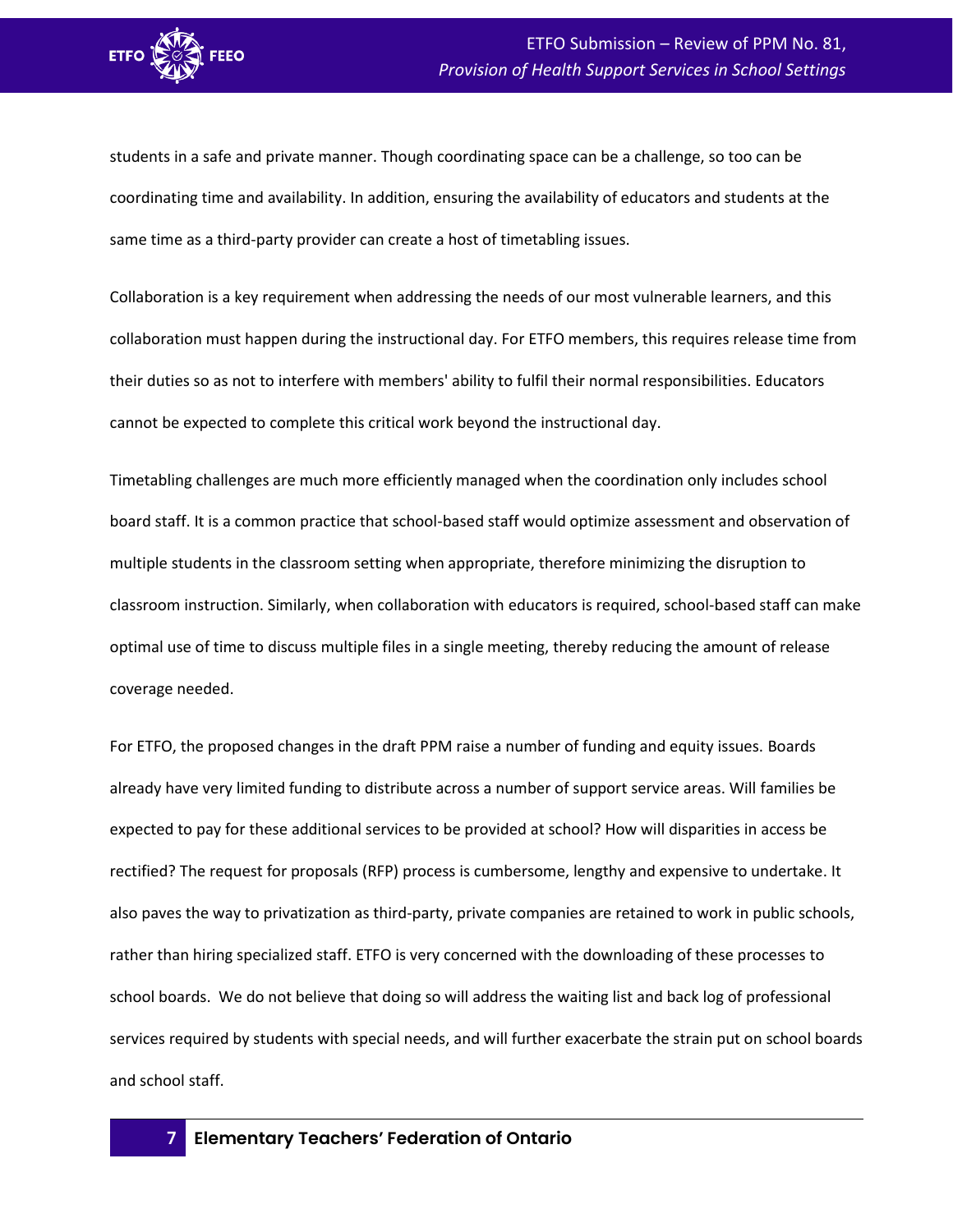

students in a safe and private manner. Though coordinating space can be a challenge, so too can be coordinating time and availability. In addition, ensuring the availability of educators and students at the same time as a third-party provider can create a host of timetabling issues.

Collaboration is a key requirement when addressing the needs of our most vulnerable learners, and this collaboration must happen during the instructional day. For ETFO members, this requires release time from their duties so as not to interfere with members' ability to fulfil their normal responsibilities. Educators cannot be expected to complete this critical work beyond the instructional day.

Timetabling challenges are much more efficiently managed when the coordination only includes school board staff. It is a common practice that school-based staff would optimize assessment and observation of multiple students in the classroom setting when appropriate, therefore minimizing the disruption to classroom instruction. Similarly, when collaboration with educators is required, school-based staff can make optimal use of time to discuss multiple files in a single meeting, thereby reducing the amount of release coverage needed.

For ETFO, the proposed changes in the draft PPM raise a number of funding and equity issues. Boards already have very limited funding to distribute across a number of support service areas. Will families be expected to pay for these additional services to be provided at school? How will disparities in access be rectified? The request for proposals (RFP) process is cumbersome, lengthy and expensive to undertake. It also paves the way to privatization as third-party, private companies are retained to work in public schools, rather than hiring specialized staff. ETFO is very concerned with the downloading of these processes to school boards. We do not believe that doing so will address the waiting list and back log of professional services required by students with special needs, and will further exacerbate the strain put on school boards and school staff.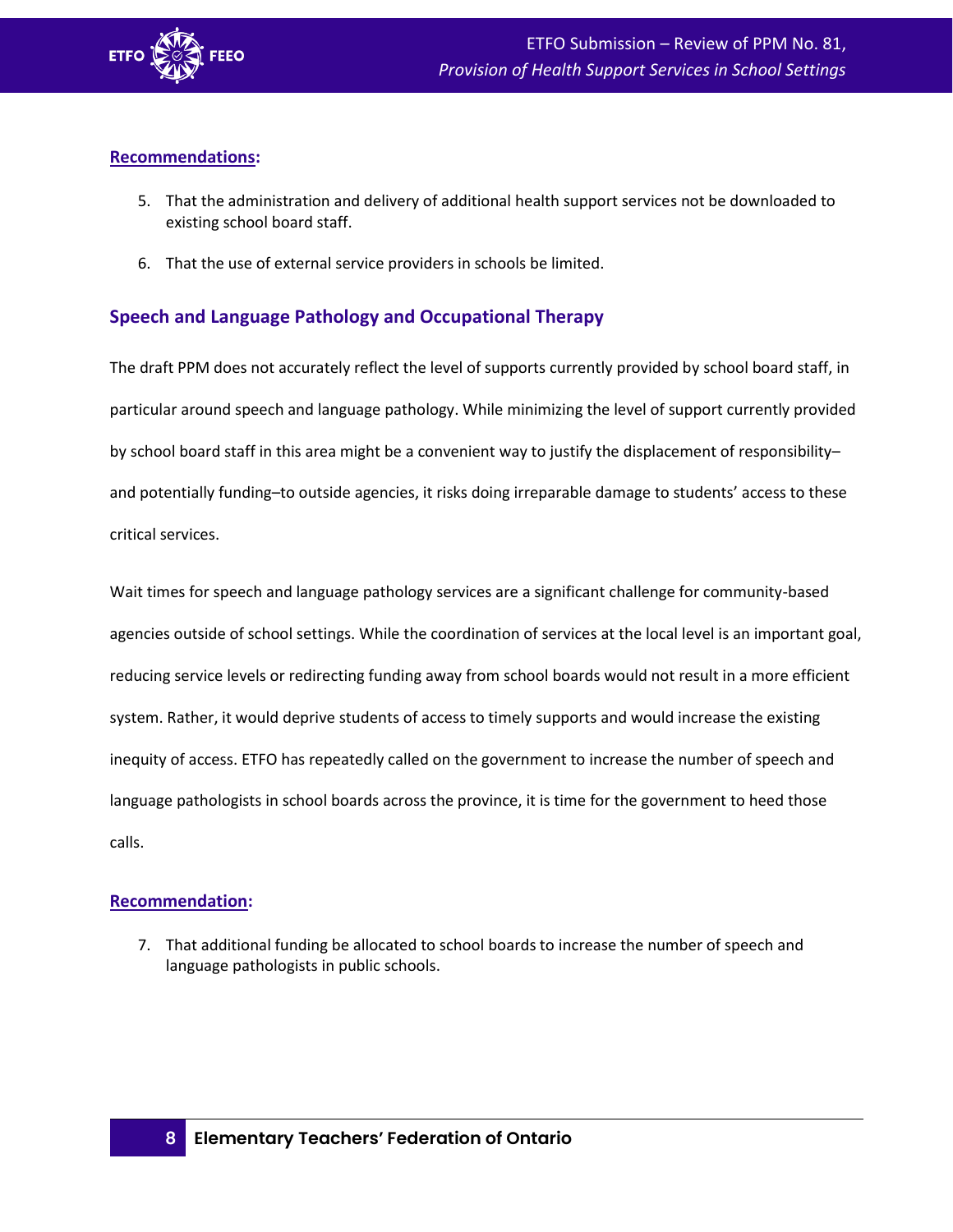

# **Recommendations:**

- 5. That the administration and delivery of additional health support services not be downloaded to existing school board staff.
- 6. That the use of external service providers in schools be limited.

# <span id="page-10-0"></span>**Speech and Language Pathology and Occupational Therapy**

The draft PPM does not accurately reflect the level of supports currently provided by school board staff, in particular around speech and language pathology. While minimizing the level of support currently provided by school board staff in this area might be a convenient way to justify the displacement of responsibility– and potentially funding–to outside agencies, it risks doing irreparable damage to students' access to these critical services.

Wait times for speech and language pathology services are a significant challenge for community-based agencies outside of school settings. While the coordination of services at the local level is an important goal, reducing service levels or redirecting funding away from school boards would not result in a more efficient system. Rather, it would deprive students of access to timely supports and would increase the existing inequity of access. ETFO has repeatedly called on the government to increase the number of speech and language pathologists in school boards across the province, it is time for the government to heed those calls.

# **Recommendation:**

7. That additional funding be allocated to school boards to increase the number of speech and language pathologists in public schools.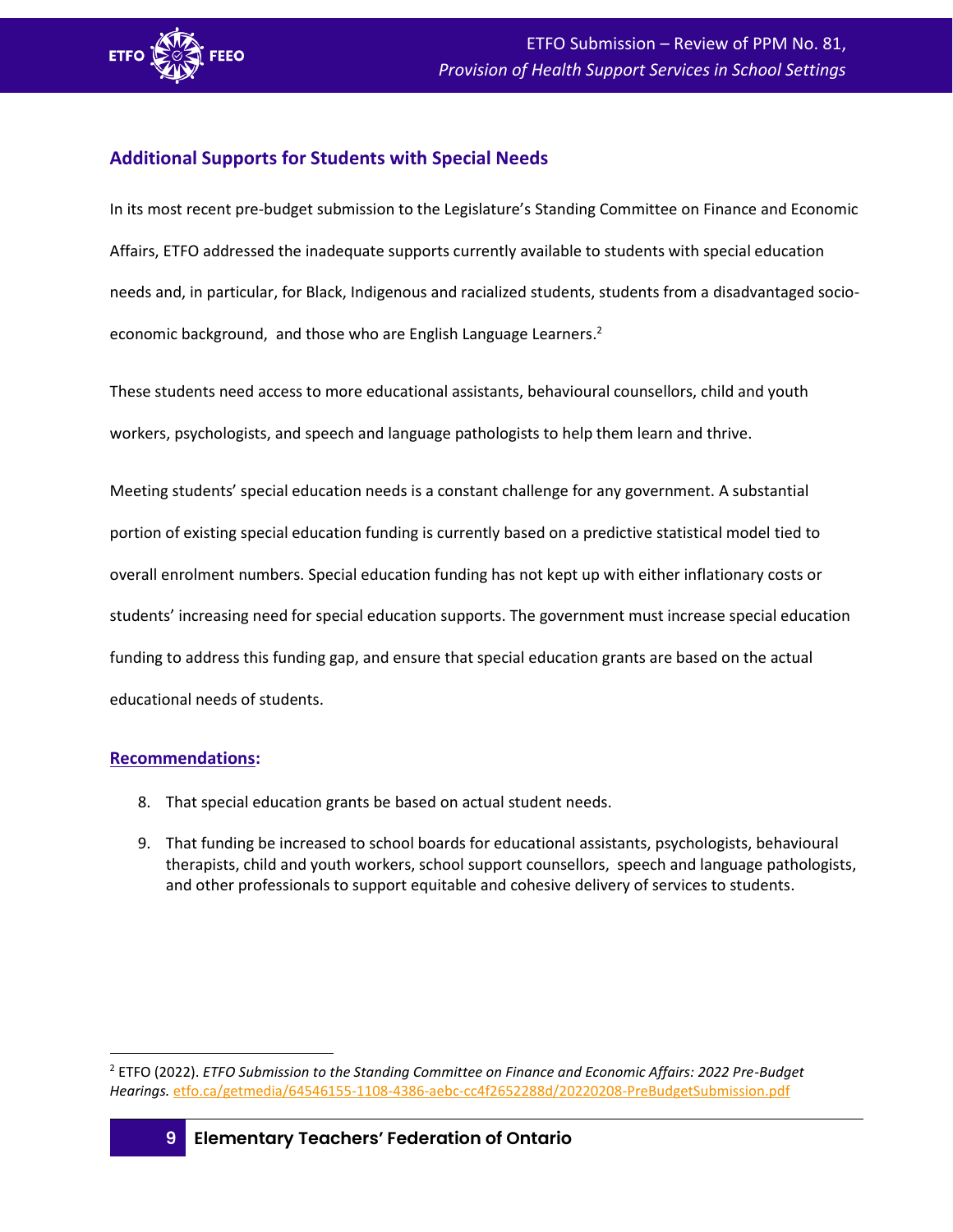

# <span id="page-11-0"></span>**Additional Supports for Students with Special Needs**

In its most recent pre-budget submission to the Legislature's Standing Committee on Finance and Economic Affairs, ETFO addressed the inadequate supports currently available to students with special education needs and, in particular, for Black, Indigenous and racialized students, students from a disadvantaged socioeconomic background, and those who are English Language Learners.<sup>2</sup>

These students need access to more educational assistants, behavioural counsellors, child and youth workers, psychologists, and speech and language pathologists to help them learn and thrive.

Meeting students' special education needs is a constant challenge for any government. A substantial portion of existing special education funding is currently based on a predictive statistical model tied to overall enrolment numbers. Special education funding has not kept up with either inflationary costs or students' increasing need for special education supports. The government must increase special education funding to address this funding gap, and ensure that special education grants are based on the actual educational needs of students.

#### **Recommendations:**

- 8. That special education grants be based on actual student needs.
- 9. That funding be increased to school boards for educational assistants, psychologists, behavioural therapists, child and youth workers, school support counsellors, speech and language pathologists, and other professionals to support equitable and cohesive delivery of services to students.

<sup>2</sup> ETFO (2022). *ETFO Submission to the Standing Committee on Finance and Economic Affairs: 2022 Pre-Budget Hearings.* [etfo.ca/getmedia/64546155-1108-4386-aebc-cc4f2652288d/20220208-PreBudgetSubmission.pdf](https://www.etfo.ca/getmedia/64546155-1108-4386-aebc-cc4f2652288d/20220208-PreBudgetSubmission.pdf)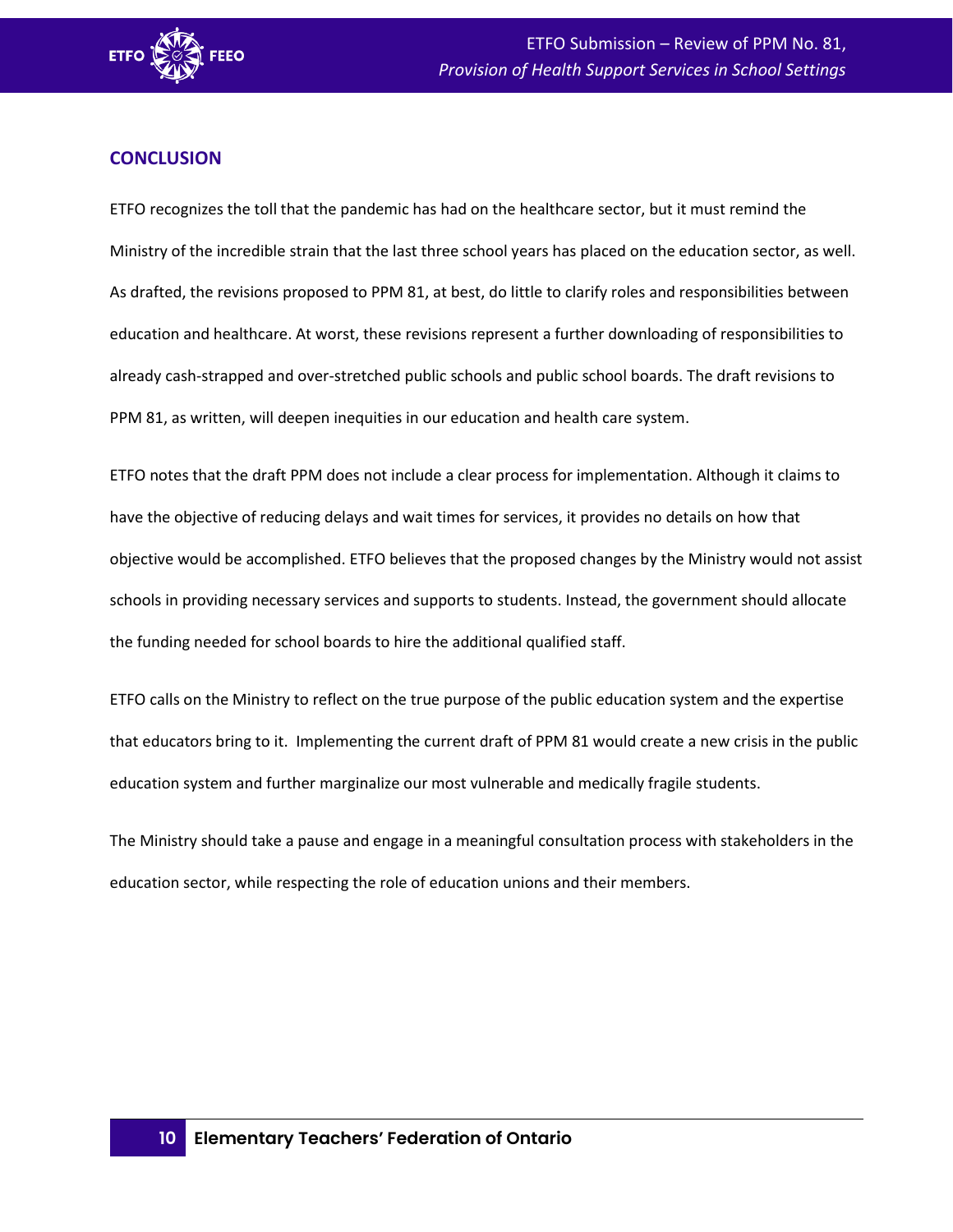

# <span id="page-12-0"></span>**CONCLUSION**

ETFO recognizes the toll that the pandemic has had on the healthcare sector, but it must remind the Ministry of the incredible strain that the last three school years has placed on the education sector, as well. As drafted, the revisions proposed to PPM 81, at best, do little to clarify roles and responsibilities between education and healthcare. At worst, these revisions represent a further downloading of responsibilities to already cash-strapped and over-stretched public schools and public school boards. The draft revisions to PPM 81, as written, will deepen inequities in our education and health care system.

ETFO notes that the draft PPM does not include a clear process for implementation. Although it claims to have the objective of reducing delays and wait times for services, it provides no details on how that objective would be accomplished. ETFO believes that the proposed changes by the Ministry would not assist schools in providing necessary services and supports to students. Instead, the government should allocate the funding needed for school boards to hire the additional qualified staff.

ETFO calls on the Ministry to reflect on the true purpose of the public education system and the expertise that educators bring to it. Implementing the current draft of PPM 81 would create a new crisis in the public education system and further marginalize our most vulnerable and medically fragile students.

The Ministry should take a pause and engage in a meaningful consultation process with stakeholders in the education sector, while respecting the role of education unions and their members.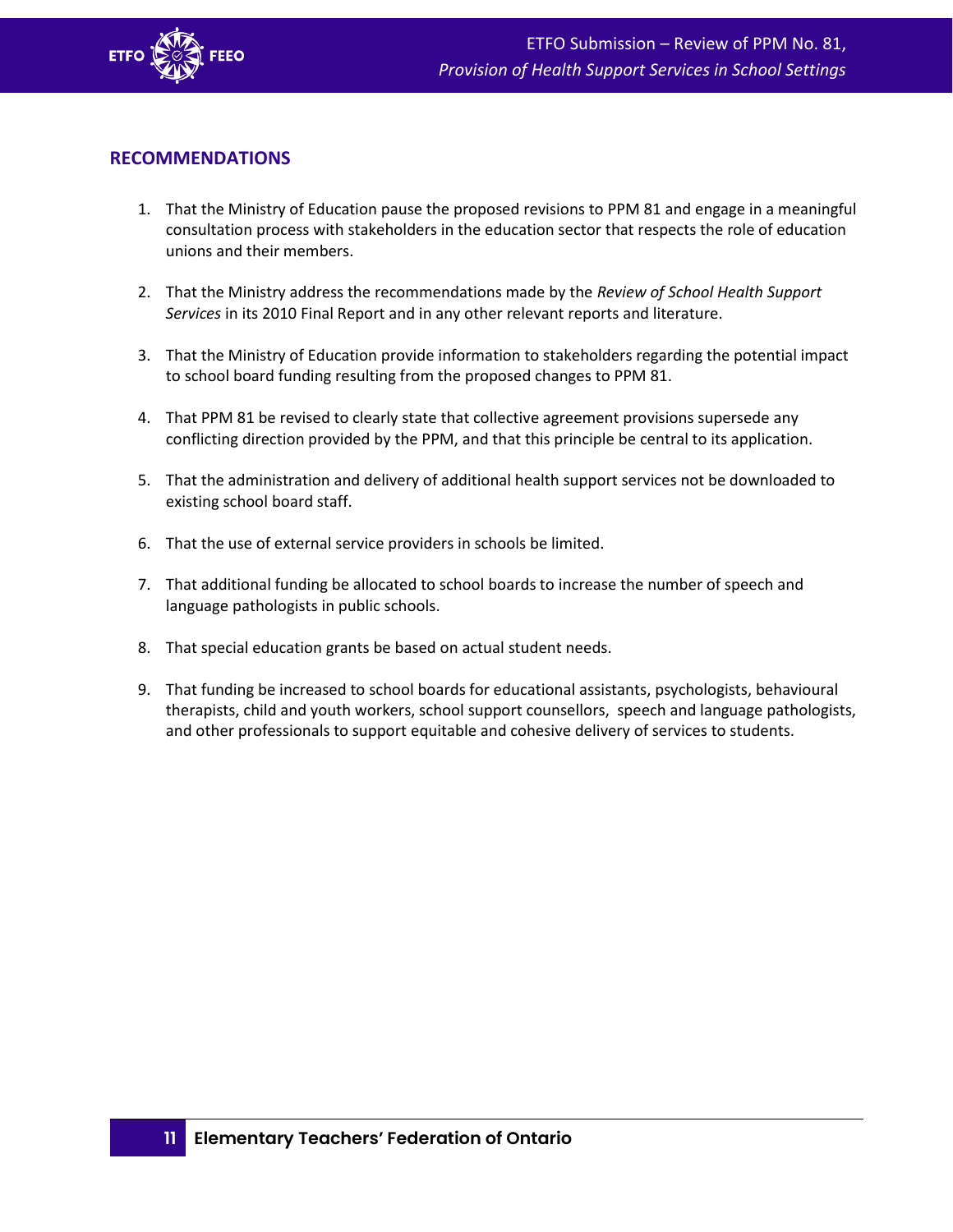

# <span id="page-13-0"></span>**RECOMMENDATIONS**

- 1. That the Ministry of Education pause the proposed revisions to PPM 81 and engage in a meaningful consultation process with stakeholders in the education sector that respects the role of education unions and their members.
- 2. That the Ministry address the recommendations made by the *Review of School Health Support Services* in its 2010 Final Report and in any other relevant reports and literature.
- 3. That the Ministry of Education provide information to stakeholders regarding the potential impact to school board funding resulting from the proposed changes to PPM 81.
- 4. That PPM 81 be revised to clearly state that collective agreement provisions supersede any conflicting direction provided by the PPM, and that this principle be central to its application.
- 5. That the administration and delivery of additional health support services not be downloaded to existing school board staff.
- 6. That the use of external service providers in schools be limited.
- 7. That additional funding be allocated to school boards to increase the number of speech and language pathologists in public schools.
- 8. That special education grants be based on actual student needs.
- 9. That funding be increased to school boards for educational assistants, psychologists, behavioural therapists, child and youth workers, school support counsellors, speech and language pathologists, and other professionals to support equitable and cohesive delivery of services to students.